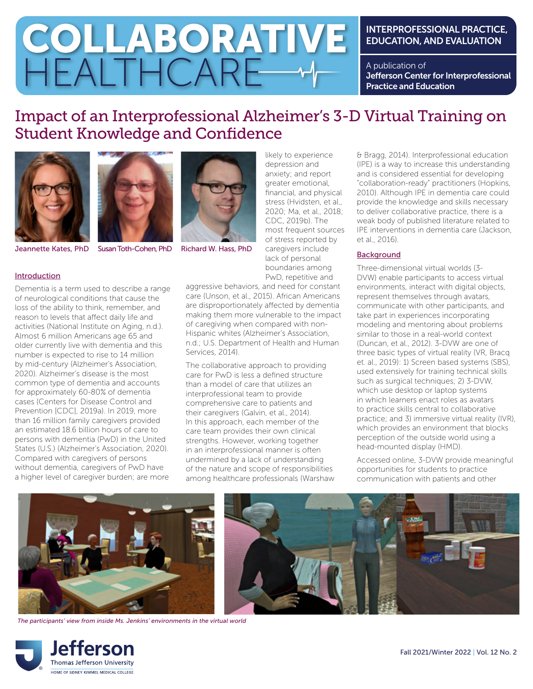# INTERPROFESSIONAL PRACTICE, EDUCATION, AND EVALUATION

A publication of Jefferson Center for Interprofessional Practice and Education

# Impact of an Interprofessional Alzheimer's 3-D Virtual Training on Student Knowledge and Confidence





HEALTHCARE

Jeannette Kates, PhD Susan Toth-Cohen, PhD Richard W. Hass, PhD

#### Introduction

Dementia is a term used to describe a range of neurological conditions that cause the loss of the ability to think, remember, and reason to levels that affect daily life and activities (National Institute on Aging, n.d.). Almost 6 million Americans age 65 and older currently live with dementia and this number is expected to rise to 14 million by mid-century (Alzheimer's Association, 2020). Alzheimer's disease is the most common type of dementia and accounts for approximately 60-80% of dementia cases (Centers for Disease Control and Prevention [CDC], 2019a). In 2019, more than 16 million family caregivers provided an estimated 18.6 billion hours of care to persons with dementia (PwD) in the United States (U.S.) (Alzheimer's Association, 2020). Compared with caregivers of persons without dementia, caregivers of PwD have a higher level of caregiver burden; are more



COLLABORATIVE

likely to experience depression and anxiety; and report greater emotional, financial, and physical stress (Hvidsten, et al., 2020; Ma, et al., 2018; CDC, 2019b). The most frequent sources of stress reported by caregivers include lack of personal boundaries among PwD, repetitive and

aggressive behaviors, and need for constant care (Unson, et al., 2015). African Americans are disproportionately affected by dementia making them more vulnerable to the impact of caregiving when compared with non-Hispanic whites (Alzheimer's Association, n.d.; U.S. Department of Health and Human Services, 2014).

The collaborative approach to providing care for PwD is less a defined structure than a model of care that utilizes an interprofessional team to provide comprehensive care to patients and their caregivers (Galvin, et al., 2014). In this approach, each member of the care team provides their own clinical strengths. However, working together in an interprofessional manner is often undermined by a lack of understanding of the nature and scope of responsibilities among healthcare professionals (Warshaw

& Bragg, 2014). Interprofessional education (IPE) is a way to increase this understanding and is considered essential for developing "collaboration-ready" practitioners (Hopkins, 2010). Although IPE in dementia care could provide the knowledge and skills necessary to deliver collaborative practice, there is a weak body of published literature related to IPE interventions in dementia care (Jackson, et al., 2016).

## **Background**

Three-dimensional virtual worlds (3- DVW) enable participants to access virtual environments, interact with digital objects, represent themselves through avatars, communicate with other participants, and take part in experiences incorporating modeling and mentoring about problems similar to those in a real-world context (Duncan, et al., 2012). 3-DVW are one of three basic types of virtual reality (VR, Bracq et. al., 2019): 1) Screen based systems (SBS), used extensively for training technical skills such as surgical techniques; 2) 3-DVW, which use desktop or laptop systems in which learners enact roles as avatars to practice skills central to collaborative practice; and 3) immersive virtual reality (IVR), which provides an environment that blocks perception of the outside world using a head-mounted display (HMD).

Accessed online, 3-DVW provide meaningful opportunities for students to practice communication with patients and other



*The participants' view from inside Ms. Jenkins' environments in the virtual world*

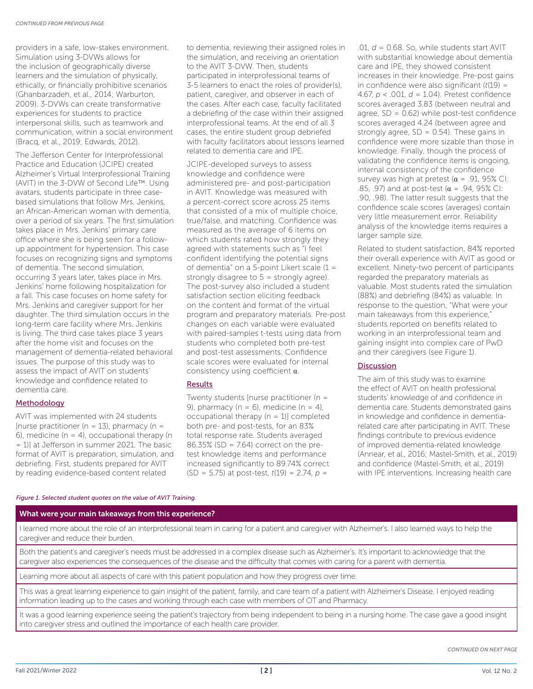providers in a safe, low-stakes environment. Simulation using 3-DVWs allows for the inclusion of geographically diverse learners and the simulation of physically, ethically, or financially prohibitive scenarios (Ghanbarzadeh, et al., 2014; Warburton, 2009). 3-DVWs can create transformative experiences for students to practice interpersonal skills, such as teamwork and communication, within a social environment (Bracq, et al., 2019; Edwards, 2012).

The Jefferson Center for Interprofessional Practice and Education (JCIPE) created Alzheimer's Virtual Interprofessional Training (AVIT) in the 3-DVW of Second Life™. Using avatars, students participate in three casebased simulations that follow Mrs. Jenkins, an African-American woman with dementia, over a period of six years. The first simulation takes place in Mrs. Jenkins' primary care office where she is being seen for a followup appointment for hypertension. This case focuses on recognizing signs and symptoms of dementia. The second simulation, occurring 3 years later, takes place in Mrs. Jenkins' home following hospitalization for a fall. This case focuses on home safety for Mrs. Jenkins and caregiver support for her daughter. The third simulation occurs in the long-term care facility where Mrs. Jenkins is living. The third case takes place 3 years after the home visit and focuses on the management of dementia-related behavioral issues. The purpose of this study was to assess the impact of AVIT on students' knowledge and confidence related to dementia care.

### Methodology

AVIT was implemented with 24 students [nurse practitioner ( $n = 13$ ), pharmacy ( $n =$ 6). medicine ( $n = 4$ ), occupational therapy ( $n = 6$ ) = 1)] at Jefferson in summer 2021. The basic format of AVIT is preparation, simulation, and debriefing. First, students prepared for AVIT by reading evidence-based content related

to dementia, reviewing their assigned roles in the simulation, and receiving an orientation to the AVIT 3-DVW. Then, students participated in interprofessional teams of 3-5 learners to enact the roles of provider(s), patient, caregiver, and observer in each of the cases. After each case, faculty facilitated a debriefing of the case within their assigned interprofessional teams. At the end of all 3 cases, the entire student group debriefed with faculty facilitators about lessons learned related to dementia care and IPE.

JCIPE-developed surveys to assess knowledge and confidence were administered pre- and post-participation in AVIT. Knowledge was measured with a percent-correct score across 25 items that consisted of a mix of multiple choice, true/false, and matching. Confidence was measured as the average of 6 items on which students rated how strongly they agreed with statements such as "I feel confident identifying the potential signs of dementia" on a 5-point Likert scale (1 = strongly disagree to 5 = strongly agree). The post-survey also included a student satisfaction section eliciting feedback on the content and format of the virtual program and preparatory materials. Pre-post changes on each variable were evaluated with paired-samples t-tests using data from students who completed both pre-test and post-test assessments. Confidence scale scores were evaluated for internal consistency using coefficient α.

#### Results

Twenty students [nurse practitioner (n = 9), pharmacy ( $n = 6$ ), medicine ( $n = 4$ ), occupational therapy  $(n = 1)$ ] completed both pre- and post-tests, for an 83% total response rate. Students averaged 86.35% (SD = 7.64) correct on the pretest knowledge items and performance increased significantly to 89.74% correct (SD = 5.75) at post-test, *t*(19) = 2.74, *p* =

.01, *d* = 0.68. So, while students start AVIT with substantial knowledge about dementia care and IPE, they showed consistent increases in their knowledge. Pre-post gains in confidence were also significant (*t*(19) = 4.67, *p* < .001, *d* = 1.04). Pretest confidence scores averaged 3.83 (between neutral and agree,  $SD = 0.62$ ) while post-test confidence scores averaged 4.24 (between agree and strongly agree,  $SD = 0.54$ ). These gains in confidence were more sizable than those in knowledge. Finally, though the process of validating the confidence items is ongoing, internal consistency of the confidence survey was high at pretest ( $\alpha$  = .91, 95% CI: .85, .97) and at post-test ( $\alpha$  = .94, 95% CI: .90, .98). The latter result suggests that the confidence scale scores (averages) contain very little measurement error. Reliability analysis of the knowledge items requires a larger sample size.

Related to student satisfaction, 84% reported their overall experience with AVIT as good or excellent. Ninety-two percent of participants regarded the preparatory materials as valuable. Most students rated the simulation (88%) and debriefing (84%) as valuable. In response to the question, "What were your main takeaways from this experience," students reported on benefits related to working in an interprofessional team and gaining insight into complex care of PwD and their caregivers (see Figure 1).

#### Discussion

The aim of this study was to examine the effect of AVIT on health professional students' knowledge of and confidence in dementia care. Students demonstrated gains in knowledge and confidence in dementiarelated care after participating in AVIT. These findings contribute to previous evidence of improved dementia-related knowledge (Annear, et al., 2016; Mastel-Smith, et al., 2019) and confidence (Mastel-Smith, et al., 2019) with IPE interventions. Increasing health care

#### *Figure 1. Selected student quotes on the value of AVIT Training.*

#### What were your main takeaways from this experience?

I learned more about the role of an interprofessional team in caring for a patient and caregiver with Alzheimer's. I also learned ways to help the caregiver and reduce their burden.

Both the patient's and caregiver's needs must be addressed in a complex disease such as Alzheimer's. It's important to acknowledge that the caregiver also experiences the consequences of the disease and the difficulty that comes with caring for a parent with dementia.

Learning more about all aspects of care with this patient population and how they progress over time.

This was a great learning experience to gain insight of the patient, family, and care team of a patient with Alzheimer's Disease. I enjoyed reading information leading up to the cases and working through each case with members of OT and Pharmacy.

It was a good learning experience seeing the patient's trajectory from being independent to being in a nursing home. The case gave a good insight into caregiver stress and outlined the importance of each health care provider.